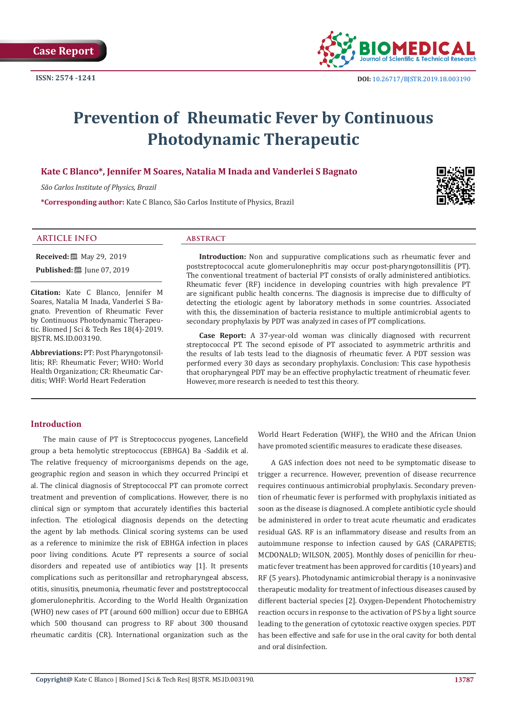

# **Prevention of Rheumatic Fever by Continuous Photodynamic Therapeutic**

# **Kate C Blanco\*, Jennifer M Soares, Natalia M Inada and Vanderlei S Bagnato**

*São Carlos Institute of Physics, Brazil*

**\*Corresponding author:** Kate C Blanco, São Carlos Institute of Physics, Brazil

## **ARTICLE INFO abstract**

**Received:** 圖 May 29, 2019 **Published:** [Une 07, 2019]

**Citation:** Kate C Blanco, Jennifer M Soares, Natalia M Inada, Vanderlei S Bagnato. Prevention of Rheumatic Fever by Continuous Photodynamic Therapeutic. Biomed J Sci & Tech Res 18(4)-2019. BJSTR. MS.ID.003190.

**Abbreviations:** PT: Post Pharyngotonsillitis; RF: Rheumatic Fever; WHO: World Health Organization; CR: Rheumatic Carditis; WHF: World Heart Federation

**Introduction:** Non and suppurative complications such as rheumatic fever and poststreptococcal acute glomerulonephritis may occur post-pharyngotonsillitis (PT). The conventional treatment of bacterial PT consists of orally administered antibiotics. Rheumatic fever (RF) incidence in developing countries with high prevalence PT are significant public health concerns. The diagnosis is imprecise due to difficulty of detecting the etiologic agent by laboratory methods in some countries. Associated with this, the dissemination of bacteria resistance to multiple antimicrobial agents to secondary prophylaxis by PDT was analyzed in cases of PT complications.

**Case Report:** A 37-year-old woman was clinically diagnosed with recurrent streptococcal PT. The second episode of PT associated to asymmetric arthritis and the results of lab tests lead to the diagnosis of rheumatic fever. A PDT session was performed every 30 days as secondary prophylaxis. Conclusion: This case hypothesis that oropharyngeal PDT may be an effective prophylactic treatment of rheumatic fever. However, more research is needed to test this theory.

# **Introduction**

The main cause of PT is Streptococcus pyogenes, Lancefield group a beta hemolytic streptococcus (EBHGA) Ba -Saddik et al. The relative frequency of microorganisms depends on the age, geographic region and season in which they occurred Principi et al. The clinical diagnosis of Streptococcal PT can promote correct treatment and prevention of complications. However, there is no clinical sign or symptom that accurately identifies this bacterial infection. The etiological diagnosis depends on the detecting the agent by lab methods. Clinical scoring systems can be used as a reference to minimize the risk of EBHGA infection in places poor living conditions. Acute PT represents a source of social disorders and repeated use of antibiotics way [1]. It presents complications such as peritonsillar and retropharyngeal abscess, otitis, sinusitis, pneumonia, rheumatic fever and poststreptococcal glomerulonephritis. According to the World Health Organization (WHO) new cases of PT (around 600 million) occur due to EBHGA which 500 thousand can progress to RF about 300 thousand rheumatic carditis (CR). International organization such as the

World Heart Federation (WHF), the WHO and the African Union have promoted scientific measures to eradicate these diseases.

A GAS infection does not need to be symptomatic disease to trigger a recurrence. However, prevention of disease recurrence requires continuous antimicrobial prophylaxis. Secondary prevention of rheumatic fever is performed with prophylaxis initiated as soon as the disease is diagnosed. A complete antibiotic cycle should be administered in order to treat acute rheumatic and eradicates residual GAS. RF is an inflammatory disease and results from an autoimmune response to infection caused by GAS (CARAPETIS; MCDONALD; WILSON, 2005). Monthly doses of penicillin for rheumatic fever treatment has been approved for carditis (10 years) and RF (5 years). Photodynamic antimicrobial therapy is a noninvasive therapeutic modality for treatment of infectious diseases caused by different bacterial species [2]. Oxygen‐Dependent Photochemistry reaction occurs in response to the activation of PS by a light source leading to the generation of cytotoxic reactive oxygen species. PDT has been effective and safe for use in the oral cavity for both dental and oral disinfection.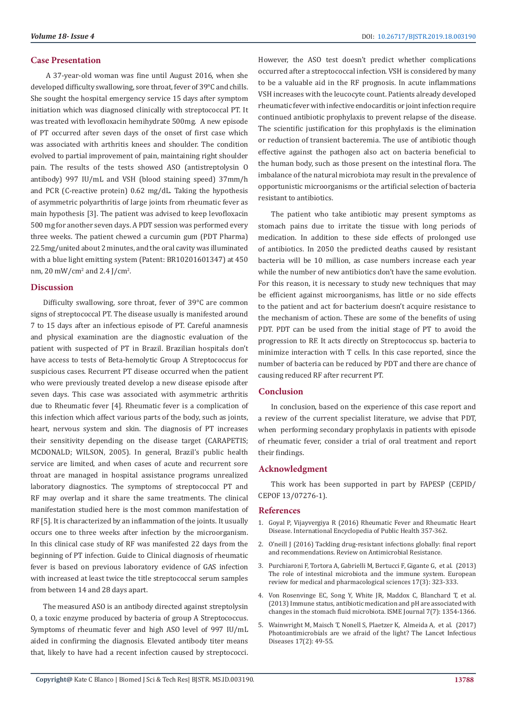#### **Case Presentation**

 A 37-year-old woman was fine until August 2016, when she developed difficulty swallowing, sore throat, fever of 39°C and chills. She sought the hospital emergency service 15 days after symptom initiation which was diagnosed clinically with streptococcal PT. It was treated with levofloxacin hemihydrate 500mg. A new episode of PT occurred after seven days of the onset of first case which was associated with arthritis knees and shoulder. The condition evolved to partial improvement of pain, maintaining right shoulder pain. The results of the tests showed ASO (antistreptolysin O antibody) 997 IU/mL and VSH (blood staining speed) 37mm/h and PCR (C-reactive protein) 0.62 mg/dL. Taking the hypothesis of asymmetric polyarthritis of large joints from rheumatic fever as main hypothesis [3]. The patient was advised to keep levofloxacin 500 mg for another seven days. A PDT session was performed every three weeks. The patient chewed a curcumin gum (PDT Pharma) 22.5mg/united about 2 minutes, and the oral cavity was illuminated with a blue light emitting system (Patent: BR10201601347) at 450 nm, 20 mW/cm<sup>2</sup> and 2.4 J/cm<sup>2</sup>.

#### **Discussion**

Difficulty swallowing, sore throat, fever of 39°C are common signs of streptococcal PT. The disease usually is manifested around 7 to 15 days after an infectious episode of PT. Careful anamnesis and physical examination are the diagnostic evaluation of the patient with suspected of PT in Brazil. Brazilian hospitals don't have access to tests of Beta-hemolytic Group A Streptococcus for suspicious cases. Recurrent PT disease occurred when the patient who were previously treated develop a new disease episode after seven days. This case was associated with asymmetric arthritis due to Rheumatic fever [4]. Rheumatic fever is a complication of this infection which affect various parts of the body, such as joints, heart, nervous system and skin. The diagnosis of PT increases their sensitivity depending on the disease target (CARAPETIS; MCDONALD; WILSON, 2005). In general, Brazil's public health service are limited, and when cases of acute and recurrent sore throat are managed in hospital assistance programs unrealized laboratory diagnostics. The symptoms of streptococcal PT and RF may overlap and it share the same treatments. The clinical manifestation studied here is the most common manifestation of RF [5]. It is characterized by an inflammation of the joints. It usually occurs one to three weeks after infection by the microorganism. In this clinical case study of RF was manifested 22 days from the beginning of PT infection. Guide to Clinical diagnosis of rheumatic fever is based on previous laboratory evidence of GAS infection with increased at least twice the title streptococcal serum samples from between 14 and 28 days apart.

The measured ASO is an antibody directed against streptolysin O, a toxic enzyme produced by bacteria of group A Streptococcus. Symptoms of rheumatic fever and high ASO level of 997 IU/mL aided in confirming the diagnosis. Elevated antibody titer means that, likely to have had a recent infection caused by streptococci. However, the ASO test doesn't predict whether complications occurred after a streptococcal infection. VSH is considered by many to be a valuable aid in the RF prognosis. In acute inflammations VSH increases with the leucocyte count. Patients already developed rheumatic fever with infective endocarditis or joint infection require continued antibiotic prophylaxis to prevent relapse of the disease. The scientific justification for this prophylaxis is the elimination or reduction of transient bacteremia. The use of antibiotic though effective against the pathogen also act on bacteria beneficial to the human body, such as those present on the intestinal flora. The imbalance of the natural microbiota may result in the prevalence of opportunistic microorganisms or the artificial selection of bacteria resistant to antibiotics.

The patient who take antibiotic may present symptoms as stomach pains due to irritate the tissue with long periods of medication. In addition to these side effects of prolonged use of antibiotics. In 2050 the predicted deaths caused by resistant bacteria will be 10 million, as case numbers increase each year while the number of new antibiotics don't have the same evolution. For this reason, it is necessary to study new techniques that may be efficient against microorganisms, has little or no side effects to the patient and act for bacterium doesn't acquire resistance to the mechanism of action. These are some of the benefits of using PDT. PDT can be used from the initial stage of PT to avoid the progression to RF. It acts directly on Streptococcus sp. bacteria to minimize interaction with T cells. In this case reported, since the number of bacteria can be reduced by PDT and there are chance of causing reduced RF after recurrent PT.

#### **Conclusion**

In conclusion, based on the experience of this case report and a review of the current specialist literature, we advise that PDT, when performing secondary prophylaxis in patients with episode of rheumatic fever, consider a trial of oral treatment and report their findings.

#### **Acknowledgment**

This work has been supported in part by FAPESP (CEPID/ CEPOF 13/07276-1).

#### **References**

- 1. [Goyal P, Vijayvergiya R \(2016\) Rheumatic Fever and Rheumatic Heart](https://www.sciencedirect.com/topics/social-sciences/rheumatic-heart-disease) [Disease. International Encyclopedia of Public Health 357-362.](https://www.sciencedirect.com/topics/social-sciences/rheumatic-heart-disease)
- 2. [O'neill J \(2016\) Tackling drug-resistant infections globally: final report](https://amr-review.org/sites/default/files/160518_Final%20paper_with%20cover.pdf) [and recommendations. Review on Antimicrobial Resistance.](https://amr-review.org/sites/default/files/160518_Final%20paper_with%20cover.pdf)
- 3. [Purchiaroni F, Tortora A, Gabrielli M, Bertucci F, Gigante G, et al. \(2013\)](https://www.ncbi.nlm.nih.gov/pubmed/23426535) [The role of intestinal microbiota and the immune system. European](https://www.ncbi.nlm.nih.gov/pubmed/23426535) [review for medical and pharmacological sciences 17\(3\): 323-333.](https://www.ncbi.nlm.nih.gov/pubmed/23426535)
- 4. [Von Rosenvinge EC, Song Y, White JR, Maddox C, Blanchard T, et al.](https://www.ncbi.nlm.nih.gov/pubmed/23466701) [\(2013\) Immune status, antibiotic medication and pH are associated with](https://www.ncbi.nlm.nih.gov/pubmed/23466701) [changes in the stomach fluid microbiota. ISME Journal 7\(7\): 1354-1366.](https://www.ncbi.nlm.nih.gov/pubmed/23466701)
- 5. [Wainwright M, Maisch T, Nonell S, Plaetzer K, Almeida A, et al. \(2017\)](https://www.thelancet.com/journals/laninf/article/PIIS1473-3099(16)30268-7/fulltext) [Photoantimicrobials are we afraid of the light? The Lancet Infectious](https://www.thelancet.com/journals/laninf/article/PIIS1473-3099(16)30268-7/fulltext) [Diseases 17\(2\): 49-55.](https://www.thelancet.com/journals/laninf/article/PIIS1473-3099(16)30268-7/fulltext)